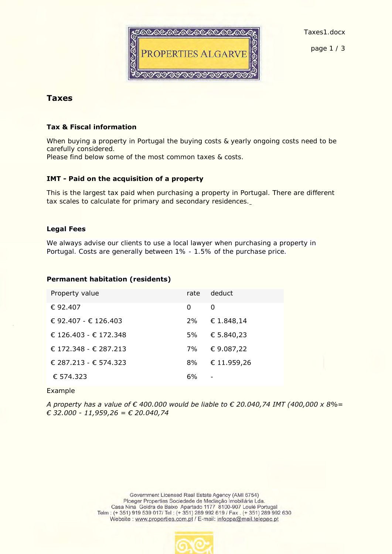

Taxes1.docx

page 1 / 3

# **Taxes**

## **Tax & Fiscal information**

When buying a property in Portugal the buying costs & yearly ongoing costs need to be carefully considered. Please find below some of the most common taxes & costs.

## **IMT - Paid on the acquisition of a property**

This is the largest tax paid when purchasing a property in Portugal. There are different tax scales to calculate for primary and secondary residences.

### **Legal Fees**

We always advise our clients to use a local lawyer when purchasing a property in Portugal. Costs are generally between 1% - 1.5% of the purchase price.

### **Permanent habitation (residents)**

|                       | rate | deduct      |
|-----------------------|------|-------------|
| Property value        |      |             |
| € 92.407              | ∩    | $\bigcap$   |
| € 92.407 - € 126.403  | 2%   | € 1.848,14  |
| € 126.403 - € 172.348 | 5%   | € 5.840,23  |
| € 172.348 - € 287.213 | 7%   | €9.087,22   |
| € 287.213 - € 574.323 | 8%   | € 11.959,26 |
| € 574.323             | 6%   |             |

Example

*A property has a value of € 400.000 would be liable to € 20.040,74 IMT (400,000 x 8%= € 32.000 - 11,959,26 = € 20.040,74*

> Government Licensed Real Estate Agency (AMI 6754) Ploeger Properties Sociedade de Mediação Imobiliária Lda. Casa Nina Goldra de Baixo Apartado 1177 8100-907 Loulé Portugal Telm: (+351) 919 539 017/ Tel: (+351) 289 992 619 / Fax. (+351) 289 992 630 Website: www.properties.com.pt / E-mail: infoppa@mail.telepac.pt

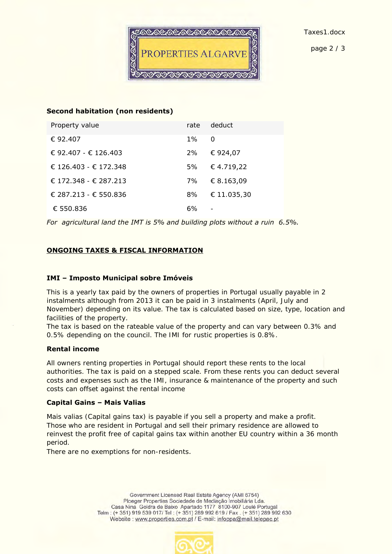

#### **Second habitation (non residents)**

| Property value        | rate  | deduct         |
|-----------------------|-------|----------------|
| € 92.407              | $1\%$ | $\overline{O}$ |
| € 92.407 - € 126.403  | 2%    | € 924,07       |
| € 126.403 - € 172.348 | 5%    | €4.719,22      |
| € 172.348 - € 287.213 | 7%    | € 8.163,09     |
| € 287.213 - € 550.836 | 8%    | € 11.035,30    |
| € 550.836             | 6%    |                |

*For agricultural land the IMT is 5% and building plots without a ruin 6.5%.* 

### **ONGOING TAXES & FISCAL INFORMATION**

#### **IMI – Imposto Municipal sobre Imóveis**

This is a yearly tax paid by the owners of properties in Portugal usually payable in 2 instalments although from 2013 it can be paid in 3 instalments (April, July and November) depending on its value. The tax is calculated based on size, type, location and facilities of the property.

The tax is based on the rateable value of the property and can vary between 0.3% and 0.5% depending on the council. The IMI for rustic properties is 0.8%.

#### **Rental income**

All owners renting properties in Portugal should report these rents to the local authorities. The tax is paid on a stepped scale. From these rents you can deduct several costs and expenses such as the IMI, insurance & maintenance of the property and such costs can offset against the rental income

### **Capital Gains – Mais Valias**

Mais valias (Capital gains tax) is payable if you sell a property and make a profit. Those who are resident in Portugal and sell their primary residence are allowed to reinvest the profit free of capital gains tax within another EU country within a 36 month period.

There are no exemptions for non-residents.

Government Licensed Real Estate Agency (AMI 6754) Ploeger Properties Sociedade de Mediação Imobiliária Lda. Casa Nina Goldra de Baixo Apartado 1177 8100-907 Loulé Portugal Telm: (+351) 919 539 017/ Tel: (+351) 289 992 619 / Fax. (+351) 289 992 630 Website: www.properties.com.pt / E-mail: infoppa@mail.telepac.pt